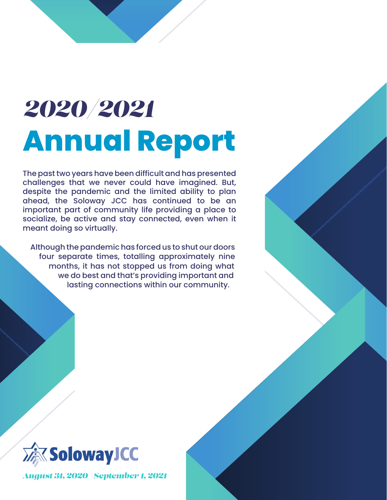# *2020/2021* **Annual Report**

The past two years have been difficult and has presented challenges that we never could have imagined. But, despite the pandemic and the limited ability to plan ahead, the Soloway JCC has continued to be an important part of community life providing a place to socialize, be active and stay connected, even when it meant doing so virtually.

Although the pandemic has forced us to shut our doors four separate times, totalling approximately nine months, it has not stopped us from doing what we do best and that's providing important and lasting connections within our community.



*August 31, 2020 - September 1, 2021*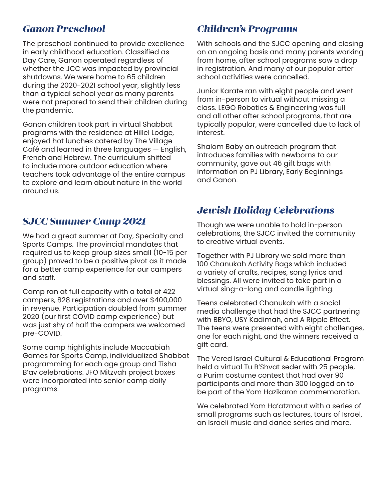#### *Ganon Preschool*

The preschool continued to provide excellence in early childhood education. Classified as Day Care, Ganon operated regardless of whether the JCC was impacted by provincial shutdowns. We were home to 65 children during the 2020-2021 school year, slightly less than a typical school year as many parents were not prepared to send their children during the pandemic.

Ganon children took part in virtual Shabbat programs with the residence at Hillel Lodge, enjoyed hot lunches catered by The Village Café and learned in three languages — English, French and Hebrew. The curriculum shifted to include more outdoor education where teachers took advantage of the entire campus to explore and learn about nature in the world around us.

#### *SJCC Summer Camp 2021*

We had a great summer at Day, Specialty and Sports Camps. The provincial mandates that required us to keep group sizes small (10-15 per group) proved to be a positive pivot as it made for a better camp experience for our campers and staff.

Camp ran at full capacity with a total of 422 campers, 828 registrations and over \$400,000 in revenue. Participation doubled from summer 2020 (our first COVID camp experience) but was just shy of half the campers we welcomed pre-COVID.

Some camp highlights include Maccabiah Games for Sports Camp, individualized Shabbat programming for each age group and Tisha B'av celebrations. JFO Mitzvah project boxes were incorporated into senior camp daily programs.

#### *Children's Programs*

With schools and the SJCC opening and closing on an ongoing basis and many parents working from home, after school programs saw a drop in registration. And many of our popular after school activities were cancelled.

Junior Karate ran with eight people and went from in-person to virtual without missing a class. LEGO Robotics & Engineering was full and all other after school programs, that are typically popular, were cancelled due to lack of interest.

Shalom Baby an outreach program that introduces families with newborns to our community, gave out 46 gift bags with information on PJ Library, Early Beginnings and Ganon.

#### *Jewish Holiday Celebrations*

Though we were unable to hold in-person celebrations, the SJCC invited the community to creative virtual events.

Together with PJ Library we sold more than 100 Chanukah Activity Bags which included a variety of crafts, recipes, song lyrics and blessings. All were invited to take part in a virtual sing-a-long and candle lighting.

Teens celebrated Chanukah with a social media challenge that had the SJCC partnering with BBYO, USY Kadimah, and A Ripple Effect. The teens were presented with eight challenges, one for each night, and the winners received a gift card.

The Vered Israel Cultural & Educational Program held a virtual Tu B'Shvat seder with 25 people, a Purim costume contest that had over 90 participants and more than 300 logged on to be part of the Yom Hazikaron commemoration.

We celebrated Yom Ha'atzmaut with a series of small programs such as lectures, tours of Israel, an Israeli music and dance series and more.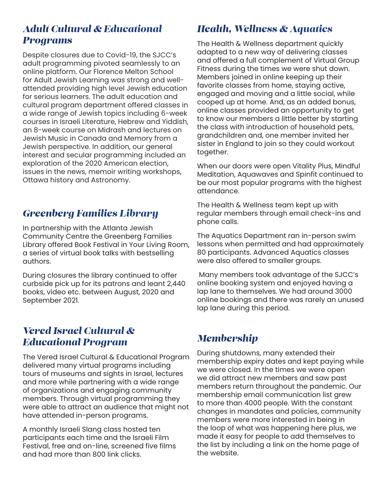#### *Adult Cultural & Educational Programs*

Despite closures due to Covid-19, the SJCC's adult programming pivoted seamlessly to an online platform. Our Florence Melton School for Adult Jewish Learning was strong and wellattended providing high level Jewish education for serious learners. The adult education and cultural program department offered classes in a wide range of Jewish topics including 6-week courses in Israeli Literature, Hebrew and Yiddish, an 8-week course on Midrash and lectures on Jewish Music in Canada and Memory from a Jewish perspective. In addition, our general interest and secular programming included an exploration of the 2020 American election, issues in the news, memoir writing workshops, Ottawa history and Astronomy.

### *Greenberg Families Library*

In partnership with the Atlanta Jewish Community Centre the Greenberg Families Library offered Book Festival in Your Living Room, a series of virtual book talks with bestselling authors.

During closures the library continued to offer curbside pick up for its patrons and leant 2,440 books, video etc. between August, 2020 and September 2021.

#### *Vered Israel Cultural & Educational Program*

The Vered Israel Cultural & Educational Program delivered many virtual programs including tours of museums and sights in Israel, lectures and more while partnering with a wide range of organizations and engaging community members. Through virtual programming they were able to attract an audience that might not have attended in-person programs.

A monthly Israeli Slang class hosted ten participants each time and the Israeli Film Festival, free and on-line, screened five films and had more than 800 link clicks.

#### *Health, Wellness & Aquatics*

The Health & Wellness department quickly adapted to a new way of delivering classes and offered a full complement of Virtual Group Fitness during the times we were shut down. Members joined in online keeping up their favorite classes from home, staying active, engaged and moving and a little social, while cooped up at home. And, as an added bonus, online classes provided an opportunity to get to know our members a little better by starting the class with introduction of household pets, grandchildren and, one member invited her sister in England to join so they could workout together.

When our doors were open Vitality Plus, Mindful Meditation, Aquawaves and Spinfit continued to be our most popular programs with the highest attendance.

The Health & Wellness team kept up with regular members through email check-ins and phone calls.

The Aquatics Department ran in-person swim lessons when permitted and had approximately 80 participants. Advanced Aquatics classes were also offered to smaller groups.

 Many members took advantage of the SJCC's online booking system and enjoyed having a lap lane to themselves. We had around 3000 online bookings and there was rarely an unused lap lane during this period.

# *Membership*

During shutdowns, many extended their membership expiry dates and kept paying while we were closed. In the times we were open we did attract new members and saw past members return throughout the pandemic. Our membership email communication list grew to more than 4000 people. With the constant changes in mandates and policies, community members were more interested in being in the loop of what was happening here plus, we made it easy for people to add themselves to the list by including a link on the home page of the website.